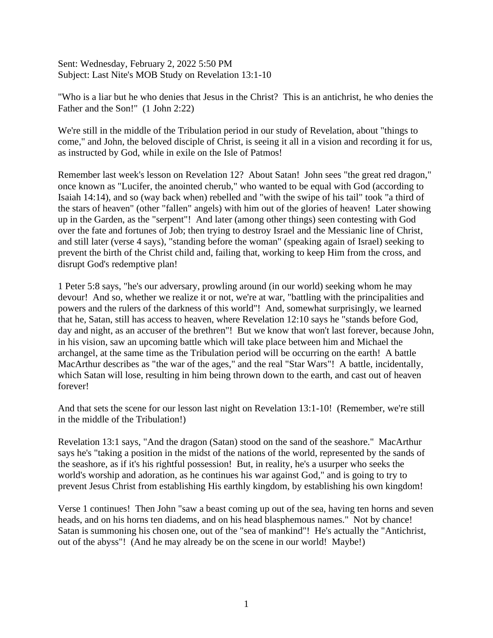Sent: Wednesday, February 2, 2022 5:50 PM Subject: Last Nite's MOB Study on Revelation 13:1-10

"Who is a liar but he who denies that Jesus in the Christ? This is an antichrist, he who denies the Father and the Son!" (1 John 2:22)

We're still in the middle of the Tribulation period in our study of Revelation, about "things to come," and John, the beloved disciple of Christ, is seeing it all in a vision and recording it for us, as instructed by God, while in exile on the Isle of Patmos!

Remember last week's lesson on Revelation 12? About Satan! John sees "the great red dragon," once known as "Lucifer, the anointed cherub," who wanted to be equal with God (according to Isaiah 14:14), and so (way back when) rebelled and "with the swipe of his tail" took "a third of the stars of heaven" (other "fallen" angels) with him out of the glories of heaven! Later showing up in the Garden, as the "serpent"! And later (among other things) seen contesting with God over the fate and fortunes of Job; then trying to destroy Israel and the Messianic line of Christ, and still later (verse 4 says), "standing before the woman" (speaking again of Israel) seeking to prevent the birth of the Christ child and, failing that, working to keep Him from the cross, and disrupt God's redemptive plan!

1 Peter 5:8 says, "he's our adversary, prowling around (in our world) seeking whom he may devour! And so, whether we realize it or not, we're at war, "battling with the principalities and powers and the rulers of the darkness of this world"! And, somewhat surprisingly, we learned that he, Satan, still has access to heaven, where Revelation 12:10 says he "stands before God, day and night, as an accuser of the brethren"! But we know that won't last forever, because John, in his vision, saw an upcoming battle which will take place between him and Michael the archangel, at the same time as the Tribulation period will be occurring on the earth! A battle MacArthur describes as "the war of the ages," and the real "Star Wars"! A battle, incidentally, which Satan will lose, resulting in him being thrown down to the earth, and cast out of heaven forever!

And that sets the scene for our lesson last night on Revelation 13:1-10! (Remember, we're still in the middle of the Tribulation!)

Revelation 13:1 says, "And the dragon (Satan) stood on the sand of the seashore." MacArthur says he's "taking a position in the midst of the nations of the world, represented by the sands of the seashore, as if it's his rightful possession! But, in reality, he's a usurper who seeks the world's worship and adoration, as he continues his war against God," and is going to try to prevent Jesus Christ from establishing His earthly kingdom, by establishing his own kingdom!

Verse 1 continues! Then John "saw a beast coming up out of the sea, having ten horns and seven heads, and on his horns ten diadems, and on his head blasphemous names." Not by chance! Satan is summoning his chosen one, out of the "sea of mankind"! He's actually the "Antichrist, out of the abyss"! (And he may already be on the scene in our world! Maybe!)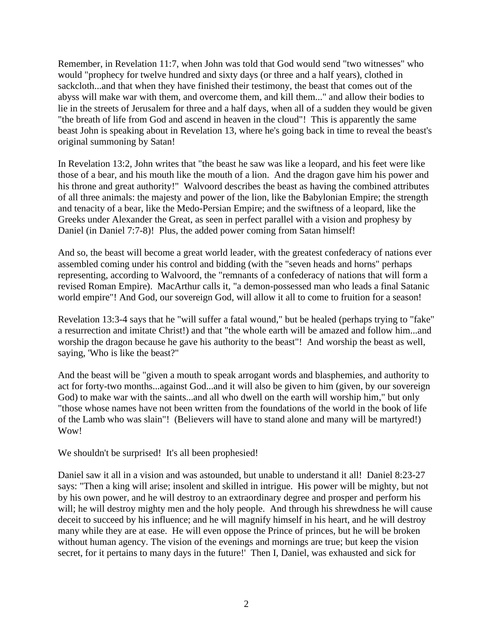Remember, in Revelation 11:7, when John was told that God would send "two witnesses" who would "prophecy for twelve hundred and sixty days (or three and a half years), clothed in sackcloth...and that when they have finished their testimony, the beast that comes out of the abyss will make war with them, and overcome them, and kill them..." and allow their bodies to lie in the streets of Jerusalem for three and a half days, when all of a sudden they would be given "the breath of life from God and ascend in heaven in the cloud"! This is apparently the same beast John is speaking about in Revelation 13, where he's going back in time to reveal the beast's original summoning by Satan!

In Revelation 13:2, John writes that "the beast he saw was like a leopard, and his feet were like those of a bear, and his mouth like the mouth of a lion. And the dragon gave him his power and his throne and great authority!" Walvoord describes the beast as having the combined attributes of all three animals: the majesty and power of the lion, like the Babylonian Empire; the strength and tenacity of a bear, like the Medo-Persian Empire; and the swiftness of a leopard, like the Greeks under Alexander the Great, as seen in perfect parallel with a vision and prophesy by Daniel (in Daniel 7:7-8)! Plus, the added power coming from Satan himself!

And so, the beast will become a great world leader, with the greatest confederacy of nations ever assembled coming under his control and bidding (with the "seven heads and horns" perhaps representing, according to Walvoord, the "remnants of a confederacy of nations that will form a revised Roman Empire). MacArthur calls it, "a demon-possessed man who leads a final Satanic world empire"! And God, our sovereign God, will allow it all to come to fruition for a season!

Revelation 13:3-4 says that he "will suffer a fatal wound," but be healed (perhaps trying to "fake" a resurrection and imitate Christ!) and that "the whole earth will be amazed and follow him...and worship the dragon because he gave his authority to the beast"! And worship the beast as well, saying, 'Who is like the beast?"

And the beast will be "given a mouth to speak arrogant words and blasphemies, and authority to act for forty-two months...against God...and it will also be given to him (given, by our sovereign God) to make war with the saints...and all who dwell on the earth will worship him," but only "those whose names have not been written from the foundations of the world in the book of life of the Lamb who was slain"! (Believers will have to stand alone and many will be martyred!) Wow!

We shouldn't be surprised! It's all been prophesied!

Daniel saw it all in a vision and was astounded, but unable to understand it all! Daniel 8:23-27 says: "Then a king will arise; insolent and skilled in intrigue. His power will be mighty, but not by his own power, and he will destroy to an extraordinary degree and prosper and perform his will; he will destroy mighty men and the holy people. And through his shrewdness he will cause deceit to succeed by his influence; and he will magnify himself in his heart, and he will destroy many while they are at ease. He will even oppose the Prince of princes, but he will be broken without human agency. The vision of the evenings and mornings are true; but keep the vision secret, for it pertains to many days in the future!' Then I, Daniel, was exhausted and sick for